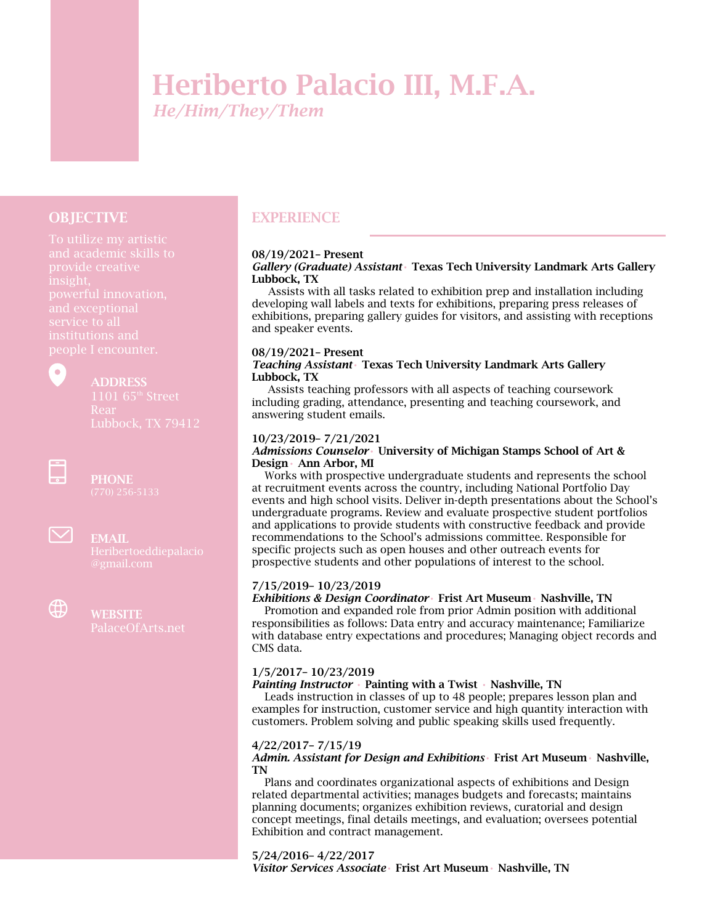# Heriberto Palacio III, M.F.A. *He/Him/They/Them*

## **OBJECTIVE**

institutions and

 $\bullet$ 

# ADDRESS

 $\frac{1}{\pi}$ 

**PHONE** 



EMAIL



# **WEBSITE**

# **EXPERIENCE**

#### 08/19/2021– Present

*Gallery (Graduate) Assistant*• Texas Tech University Landmark Arts Gallery Lubbock, TX

 Assists with all tasks related to exhibition prep and installation including developing wall labels and texts for exhibitions, preparing press releases of exhibitions, preparing gallery guides for visitors, and assisting with receptions and speaker events.

#### 08/19/2021– Present

#### *Teaching Assistant*• Texas Tech University Landmark Arts Gallery Lubbock, TX

 Assists teaching professors with all aspects of teaching coursework including grading, attendance, presenting and teaching coursework, and answering student emails.

#### 10/23/2019– 7/21/2021

#### *Admissions Counselor*• University of Michigan Stamps School of Art & Design• Ann Arbor, MI

 Works with prospective undergraduate students and represents the school at recruitment events across the country, including National Portfolio Day events and high school visits. Deliver in-depth presentations about the School's undergraduate programs. Review and evaluate prospective student portfolios and applications to provide students with constructive feedback and provide recommendations to the School's admissions committee. Responsible for specific projects such as open houses and other outreach events for prospective students and other populations of interest to the school.

#### 7/15/2019– 10/23/2019

#### *Exhibitions & Design Coordinator*• Frist Art Museum• Nashville, TN

 Promotion and expanded role from prior Admin position with additional responsibilities as follows: Data entry and accuracy maintenance; Familiarize with database entry expectations and procedures; Managing object records and CMS data.

#### 1/5/2017– 10/23/2019

#### *Painting Instructor* • Painting with a Twist • Nashville, TN

 Leads instruction in classes of up to 48 people; prepares lesson plan and examples for instruction, customer service and high quantity interaction with customers. Problem solving and public speaking skills used frequently.

#### 4/22/2017– 7/15/19

#### *Admin. Assistant for Design and Exhibitions*• Frist Art Museum• Nashville, TN

 Plans and coordinates organizational aspects of exhibitions and Design related departmental activities; manages budgets and forecasts; maintains planning documents; organizes exhibition reviews, curatorial and design concept meetings, final details meetings, and evaluation; oversees potential Exhibition and contract management.

5/24/2016– 4/22/2017 *Visitor Services Associate*• Frist Art Museum• Nashville, TN